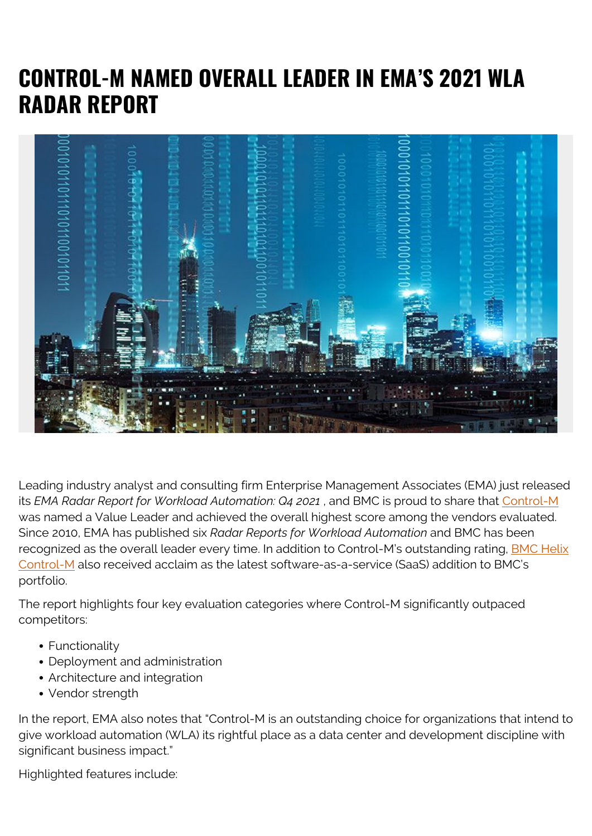## **CONTROL-M NAMED OVERALL LEADER IN EMA'S 2021 WLA RADAR REPORT**



Leading industry analyst and consulting firm Enterprise Management Associates (EMA) just released its *EMA Radar Report for Workload Automation: Q4 2021* , and BMC is proud to share that [Control-M](https://blogs.bmc.com/it-solutions/control-m.html) was named a Value Leader and achieved the overall highest score among the vendors evaluated. Since 2010, EMA has published six *Radar Reports for Workload Automation* and BMC has been recognized as the overall leader every time. In addition to Control-M's outstanding rating, [BMC Helix](https://blogs.bmc.com/it-solutions/bmc-helix-control-m.html) [Control-M](https://blogs.bmc.com/it-solutions/bmc-helix-control-m.html) also received acclaim as the latest software-as-a-service (SaaS) addition to BMC's portfolio.

The report highlights four key evaluation categories where Control-M significantly outpaced competitors:

- Functionality
- Deployment and administration
- Architecture and integration
- Vendor strength

In the report, EMA also notes that "Control-M is an outstanding choice for organizations that intend to give workload automation (WLA) its rightful place as a data center and development discipline with significant business impact."

Highlighted features include: